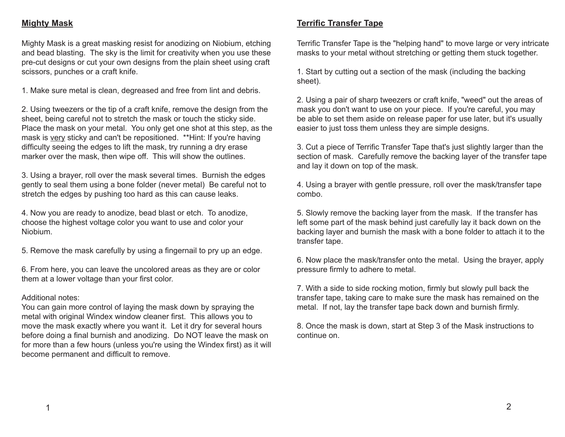#### **Mighty Mask**

Mighty Mask is a great masking resist for anodizing on Niobium, etching and bead blasting. The sky is the limit for creativity when you use these pre-cut designs or cut your own designs from the plain sheet using craft scissors, punches or a craft knife.

1. Make sure metal is clean, degreased and free from lint and debris.

2. Using tweezers or the tip of a craft knife, remove the design from the sheet, being careful not to stretch the mask or touch the sticky side. Place the mask on your metal. You only get one shot at this step, as the mask is very sticky and can't be repositioned. \*\*Hint: If you're having difficulty seeing the edges to lift the mask, try running a dry erase marker over the mask, then wipe off. This will show the outlines.

3. Using a brayer, roll over the mask several times. Burnish the edges gently to seal them using a bone folder (never metal) Be careful not to stretch the edges by pushing too hard as this can cause leaks.

4. Now you are ready to anodize, bead blast or etch. To anodize, choose the highest voltage color you want to use and color your Niobium.

5. Remove the mask carefully by using a fingernail to pry up an edge.

6. From here, you can leave the uncolored areas as they are or color them at a lower voltage than your first color.

#### Additional notes:

You can gain more control of laying the mask down by spraying the metal with original Windex window cleaner first. This allows you to move the mask exactly where you want it. Let it dry for several hours before doing a final burnish and anodizing. Do NOT leave the mask on for more than a few hours (unless you're using the Windex first) as it will become permanent and difficult to remove.

### **Terrific Transfer Tape**

Terrific Transfer Tape is the "helping hand" to move large or very intricate masks to your metal without stretching or getting them stuck together.

1. Start by cutting out a section of the mask (including the backing sheet).

2. Using a pair of sharp tweezers or craft knife, "weed" out the areas of mask you don't want to use on your piece. If you're careful, you may be able to set them aside on release paper for use later, but it's usually easier to just toss them unless they are simple designs.

3. Cut a piece of Terrific Transfer Tape that's just slightly larger than the section of mask. Carefully remove the backing layer of the transfer tape and lay it down on top of the mask.

4. Using a brayer with gentle pressure, roll over the mask/transfer tape combo.

5. Slowly remove the backing layer from the mask. If the transfer has left some part of the mask behind just carefully lay it back down on the backing layer and burnish the mask with a bone folder to attach it to the transfer tape.

6. Now place the mask/transfer onto the metal. Using the brayer, apply pressure firmly to adhere to metal.

7. With a side to side rocking motion, firmly but slowly pull back the transfer tape, taking care to make sure the mask has remained on the metal. If not, lay the transfer tape back down and burnish firmly.

8. Once the mask is down, start at Step 3 of the Mask instructions to continue on.